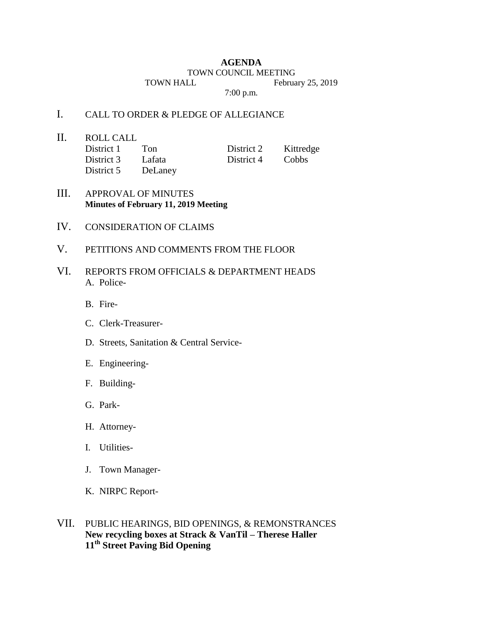### **AGENDA**

#### TOWN COUNCIL MEETING

TOWN HALL February 25, 2019

7:00 p.m.

# I. CALL TO ORDER & PLEDGE OF ALLEGIANCE

II. ROLL CALL

| District 1 | Ton     | District 2 | Kittredge    |
|------------|---------|------------|--------------|
| District 3 | Lafata  | District 4 | <b>Cobbs</b> |
| District 5 | DeLaney |            |              |

## III. APPROVAL OF MINUTES **Minutes of February 11, 2019 Meeting**

- IV. CONSIDERATION OF CLAIMS
- V. PETITIONS AND COMMENTS FROM THE FLOOR
- VI. REPORTS FROM OFFICIALS & DEPARTMENT HEADS A. Police-
	- B. Fire-
	- C. Clerk-Treasurer-
	- D. Streets, Sanitation & Central Service-
	- E. Engineering-
	- F. Building-
	- G. Park-
	- H. Attorney-
	- I. Utilities-
	- J. Town Manager-
	- K. NIRPC Report-

# VII. PUBLIC HEARINGS, BID OPENINGS, & REMONSTRANCES **New recycling boxes at Strack & VanTil – Therese Haller 11th Street Paving Bid Opening**